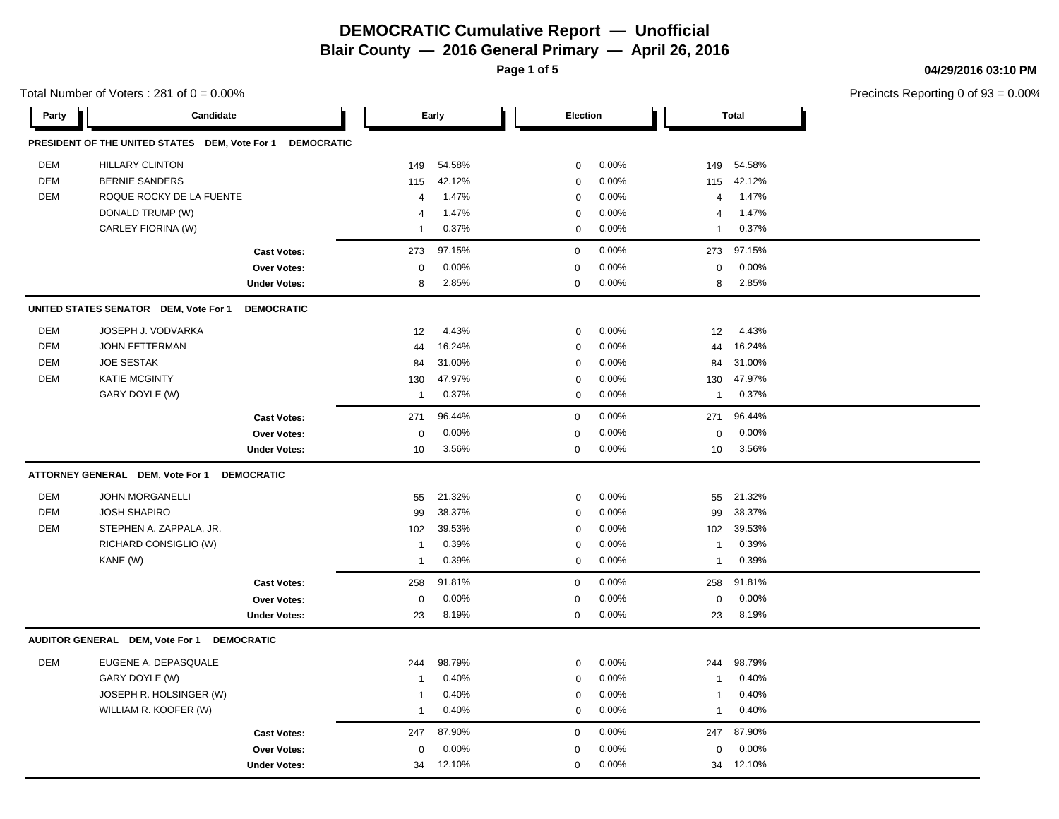**Blair County — 2016 General Primary — April 26, 2016**

**Page 1 of 5**

Total Number of Voters :  $281$  of  $0 = 0.00\%$ 

### **04/29/2016 03:10 PM**

| Party      | Candidate                                      |                     |                | Early  | <b>Election</b> |       |                | <b>Total</b> |
|------------|------------------------------------------------|---------------------|----------------|--------|-----------------|-------|----------------|--------------|
|            | PRESIDENT OF THE UNITED STATES DEM, Vote For 1 | <b>DEMOCRATIC</b>   |                |        |                 |       |                |              |
| <b>DEM</b> | <b>HILLARY CLINTON</b>                         |                     | 149            | 54.58% | 0               | 0.00% | 149            | 54.58%       |
| <b>DEM</b> | <b>BERNIE SANDERS</b>                          |                     | 115            | 42.12% | 0               | 0.00% | 115            | 42.12%       |
| <b>DEM</b> | ROQUE ROCKY DE LA FUENTE                       |                     | 4              | 1.47%  | 0               | 0.00% | 4              | 1.47%        |
|            | DONALD TRUMP (W)                               |                     | $\overline{4}$ | 1.47%  | 0               | 0.00% | $\overline{4}$ | 1.47%        |
|            | CARLEY FIORINA (W)                             |                     | $\mathbf{1}$   | 0.37%  | 0               | 0.00% | $\mathbf{1}$   | 0.37%        |
|            |                                                | <b>Cast Votes:</b>  | 273            | 97.15% | $\mathbf 0$     | 0.00% | 273            | 97.15%       |
|            |                                                | <b>Over Votes:</b>  | $\mathbf 0$    | 0.00%  | $\mathbf 0$     | 0.00% | $\mathbf 0$    | 0.00%        |
|            |                                                | <b>Under Votes:</b> | 8              | 2.85%  | $\mathbf 0$     | 0.00% | 8              | 2.85%        |
|            | UNITED STATES SENATOR DEM, Vote For 1          | <b>DEMOCRATIC</b>   |                |        |                 |       |                |              |
| DEM        | JOSEPH J. VODVARKA                             |                     | 12             | 4.43%  | 0               | 0.00% | 12             | 4.43%        |
| <b>DEM</b> | <b>JOHN FETTERMAN</b>                          |                     | 44             | 16.24% | 0               | 0.00% | 44             | 16.24%       |
| <b>DEM</b> | <b>JOE SESTAK</b>                              |                     | 84             | 31.00% | 0               | 0.00% | 84             | 31.00%       |
| <b>DEM</b> | <b>KATIE MCGINTY</b>                           |                     | 130            | 47.97% | 0               | 0.00% | 130            | 47.97%       |
|            | GARY DOYLE (W)                                 |                     | $\mathbf{1}$   | 0.37%  | $\mathbf 0$     | 0.00% | $\mathbf 1$    | 0.37%        |
|            |                                                | <b>Cast Votes:</b>  | 271            | 96.44% | $\mathbf 0$     | 0.00% | 271            | 96.44%       |
|            |                                                | Over Votes:         | $\mathbf 0$    | 0.00%  | $\mathbf 0$     | 0.00% | $\mathbf 0$    | 0.00%        |
|            |                                                | <b>Under Votes:</b> | 10             | 3.56%  | $\mathbf 0$     | 0.00% | 10             | 3.56%        |
|            | ATTORNEY GENERAL DEM, Vote For 1               | <b>DEMOCRATIC</b>   |                |        |                 |       |                |              |
| <b>DEM</b> | JOHN MORGANELLI                                |                     | 55             | 21.32% | 0               | 0.00% | 55             | 21.32%       |
| <b>DEM</b> | <b>JOSH SHAPIRO</b>                            |                     | 99             | 38.37% | 0               | 0.00% | 99             | 38.37%       |
| <b>DEM</b> | STEPHEN A. ZAPPALA, JR.                        |                     | 102            | 39.53% | 0               | 0.00% | 102            | 39.53%       |
|            | RICHARD CONSIGLIO (W)                          |                     | $\mathbf{1}$   | 0.39%  | 0               | 0.00% | $\overline{1}$ | 0.39%        |
|            | KANE (W)                                       |                     | $\mathbf{1}$   | 0.39%  | 0               | 0.00% | $\overline{1}$ | 0.39%        |
|            |                                                | <b>Cast Votes:</b>  | 258            | 91.81% | $\mathbf 0$     | 0.00% | 258            | 91.81%       |
|            |                                                | Over Votes:         | $\mathbf 0$    | 0.00%  | $\mathbf 0$     | 0.00% | 0              | 0.00%        |
|            |                                                | <b>Under Votes:</b> | 23             | 8.19%  | $\mathsf 0$     | 0.00% | 23             | 8.19%        |
|            | AUDITOR GENERAL DEM, Vote For 1                | <b>DEMOCRATIC</b>   |                |        |                 |       |                |              |
| <b>DEM</b> | EUGENE A. DEPASQUALE                           |                     | 244            | 98.79% | 0               | 0.00% | 244            | 98.79%       |
|            | GARY DOYLE (W)                                 |                     | $\mathbf{1}$   | 0.40%  | 0               | 0.00% | $\overline{1}$ | 0.40%        |
|            | JOSEPH R. HOLSINGER (W)                        |                     | $\overline{1}$ | 0.40%  | 0               | 0.00% | $\overline{1}$ | 0.40%        |
|            | WILLIAM R. KOOFER (W)                          |                     | $\mathbf{1}$   | 0.40%  | 0               | 0.00% | $\overline{1}$ | 0.40%        |
|            |                                                | <b>Cast Votes:</b>  | 247            | 87.90% | $\mathbf 0$     | 0.00% | 247            | 87.90%       |
|            |                                                | <b>Over Votes:</b>  | $\mathbf 0$    | 0.00%  | $\mathbf 0$     | 0.00% | 0              | 0.00%        |
|            |                                                | <b>Under Votes:</b> | 34             | 12.10% | $\Omega$        | 0.00% | 34             | 12.10%       |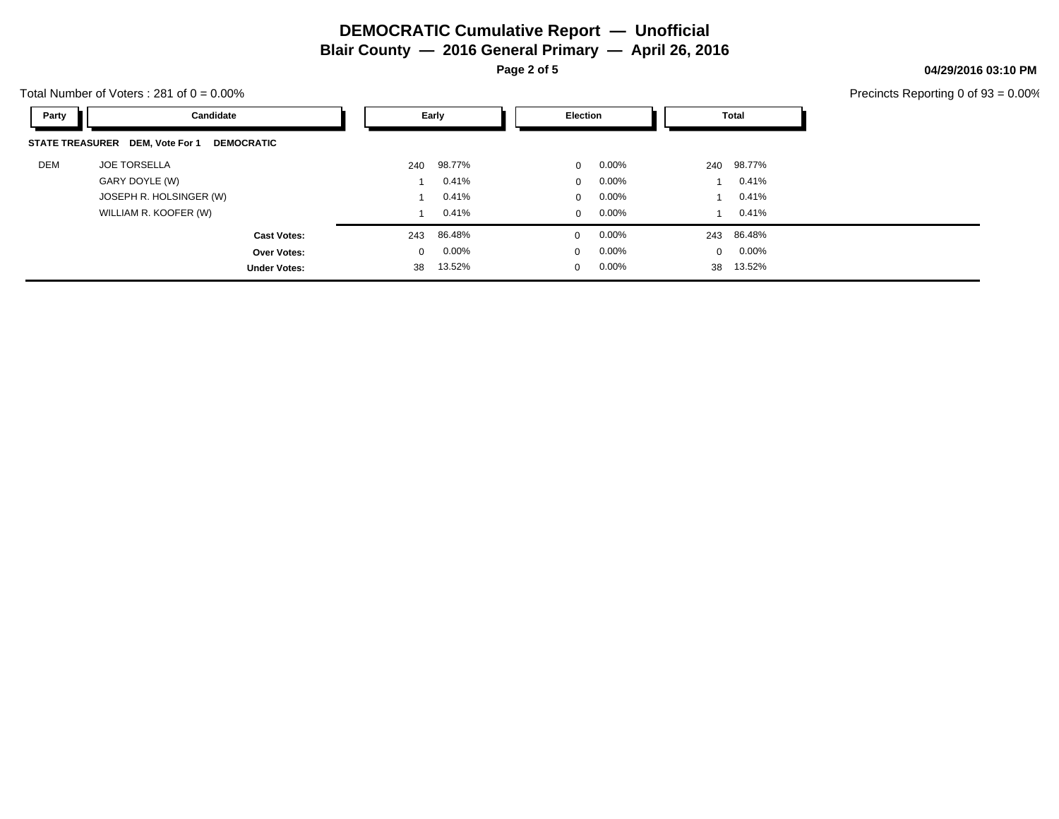**Blair County — 2016 General Primary — April 26, 2016**

**Page 2 of 5**

Total Number of Voters :  $281$  of  $0 = 0.00\%$ 

| Party | Candidate                                            |              | Early    | Election     |          |              | Total      |
|-------|------------------------------------------------------|--------------|----------|--------------|----------|--------------|------------|
|       | STATE TREASURER DEM, Vote For 1<br><b>DEMOCRATIC</b> |              |          |              |          |              |            |
| DEM   | <b>JOE TORSELLA</b>                                  | 240          | 98.77%   | $\mathbf{0}$ | $0.00\%$ | 240          | 98.77%     |
|       | GARY DOYLE (W)                                       |              | 0.41%    | $\mathbf{0}$ | $0.00\%$ |              | 0.41%      |
|       | JOSEPH R. HOLSINGER (W)                              |              | 0.41%    | $\Omega$     | 0.00%    |              | 0.41%      |
|       | WILLIAM R. KOOFER (W)                                |              | 0.41%    | $\mathbf{0}$ | $0.00\%$ |              | 0.41%      |
|       | <b>Cast Votes:</b>                                   | 243          | 86.48%   | $\mathbf 0$  | $0.00\%$ |              | 243 86.48% |
|       | Over Votes:                                          | $\mathbf{0}$ | $0.00\%$ | $\mathbf{0}$ | 0.00%    | $\mathbf{0}$ | $0.00\%$   |
|       | <b>Under Votes:</b>                                  | 38           | 13.52%   | $\mathbf 0$  | 0.00%    |              | 38 13.52%  |

### **04/29/2016 03:10 PM**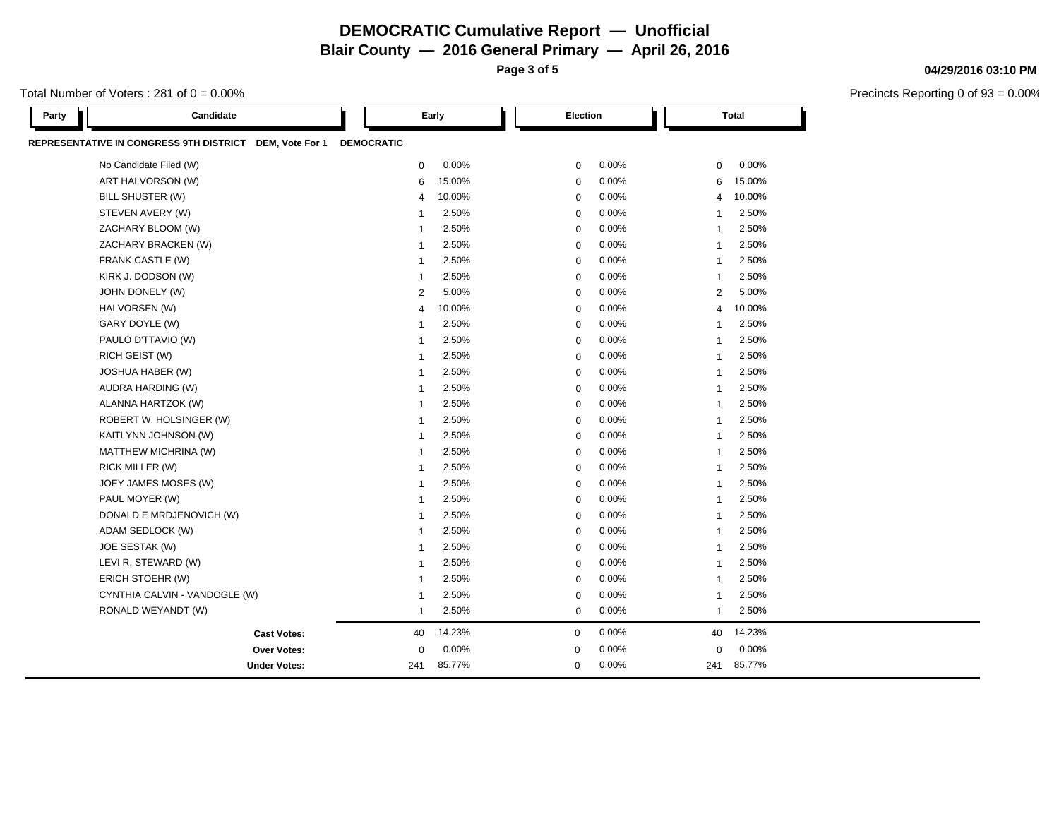**Blair County — 2016 General Primary — April 26, 2016**

**Page 3 of 5**

Total Number of Voters :  $281$  of  $0 = 0.00\%$ 

| Party | Candidate                                               |                   | Early  | Election    |          |                | <b>Total</b> |  |
|-------|---------------------------------------------------------|-------------------|--------|-------------|----------|----------------|--------------|--|
|       | REPRESENTATIVE IN CONGRESS 9TH DISTRICT DEM, Vote For 1 | <b>DEMOCRATIC</b> |        |             |          |                |              |  |
|       | No Candidate Filed (W)                                  | $\mathbf 0$       | 0.00%  | 0           | 0.00%    | 0              | 0.00%        |  |
|       | ART HALVORSON (W)                                       | 6                 | 15.00% | $\mathbf 0$ | 0.00%    | 6              | 15.00%       |  |
|       | <b>BILL SHUSTER (W)</b>                                 | $\overline{4}$    | 10.00% | $\mathbf 0$ | 0.00%    | $\overline{4}$ | 10.00%       |  |
|       | STEVEN AVERY (W)                                        | -1                | 2.50%  | $\mathbf 0$ | 0.00%    | $\overline{1}$ | 2.50%        |  |
|       | ZACHARY BLOOM (W)                                       | $\mathbf 1$       | 2.50%  | $\mathbf 0$ | 0.00%    | $\mathbf{1}$   | 2.50%        |  |
|       | ZACHARY BRACKEN (W)                                     | $\mathbf 1$       | 2.50%  | $\mathbf 0$ | 0.00%    | $\mathbf{1}$   | 2.50%        |  |
|       | FRANK CASTLE (W)                                        | $\mathbf 1$       | 2.50%  | $\mathbf 0$ | 0.00%    | $\mathbf{1}$   | 2.50%        |  |
|       | KIRK J. DODSON (W)                                      | $\mathbf{1}$      | 2.50%  | $\mathbf 0$ | 0.00%    | $\mathbf{1}$   | 2.50%        |  |
|       | JOHN DONELY (W)                                         | $\overline{2}$    | 5.00%  | $\mathbf 0$ | 0.00%    | 2              | 5.00%        |  |
|       | HALVORSEN (W)                                           | $\overline{4}$    | 10.00% | $\mathbf 0$ | 0.00%    | $\overline{4}$ | 10.00%       |  |
|       | GARY DOYLE (W)                                          | -1                | 2.50%  | $\mathbf 0$ | 0.00%    | $\mathbf{1}$   | 2.50%        |  |
|       | PAULO D'TTAVIO (W)                                      | -1                | 2.50%  | $\mathbf 0$ | 0.00%    | $\mathbf 1$    | 2.50%        |  |
|       | RICH GEIST (W)                                          | $\mathbf 1$       | 2.50%  | $\mathbf 0$ | 0.00%    | $\mathbf{1}$   | 2.50%        |  |
|       | JOSHUA HABER (W)                                        | 1                 | 2.50%  | $\mathbf 0$ | 0.00%    | $\mathbf{1}$   | 2.50%        |  |
|       | AUDRA HARDING (W)                                       | -1                | 2.50%  | $\mathbf 0$ | 0.00%    | $\mathbf{1}$   | 2.50%        |  |
|       | ALANNA HARTZOK (W)                                      | 1                 | 2.50%  | $\mathbf 0$ | 0.00%    | $\mathbf 1$    | 2.50%        |  |
|       | ROBERT W. HOLSINGER (W)                                 | $\mathbf{1}$      | 2.50%  | $\mathbf 0$ | 0.00%    | $\mathbf{1}$   | 2.50%        |  |
|       | KAITLYNN JOHNSON (W)                                    | 1                 | 2.50%  | $\mathbf 0$ | 0.00%    | $\mathbf 1$    | 2.50%        |  |
|       | MATTHEW MICHRINA (W)                                    | -1                | 2.50%  | $\Omega$    | 0.00%    | $\mathbf{1}$   | 2.50%        |  |
|       | RICK MILLER (W)                                         | 1                 | 2.50%  | $\mathbf 0$ | 0.00%    | $\mathbf{1}$   | 2.50%        |  |
|       | JOEY JAMES MOSES (W)                                    | $\mathbf{1}$      | 2.50%  | $\mathbf 0$ | 0.00%    | $\mathbf{1}$   | 2.50%        |  |
|       | PAUL MOYER (W)                                          | $\mathbf 1$       | 2.50%  | $\mathbf 0$ | 0.00%    | $\mathbf{1}$   | 2.50%        |  |
|       | DONALD E MRDJENOVICH (W)                                | $\overline{1}$    | 2.50%  | $\mathbf 0$ | 0.00%    | $\mathbf{1}$   | 2.50%        |  |
|       | ADAM SEDLOCK (W)                                        | 1                 | 2.50%  | $\mathbf 0$ | 0.00%    | $\mathbf{1}$   | 2.50%        |  |
|       | JOE SESTAK (W)                                          | $\mathbf 1$       | 2.50%  | $\mathbf 0$ | 0.00%    | $\mathbf{1}$   | 2.50%        |  |
|       | LEVI R. STEWARD (W)                                     | 1                 | 2.50%  | $\mathbf 0$ | 0.00%    | $\mathbf{1}$   | 2.50%        |  |
|       | ERICH STOEHR (W)                                        | 1                 | 2.50%  | $\mathbf 0$ | 0.00%    | $\mathbf{1}$   | 2.50%        |  |
|       | CYNTHIA CALVIN - VANDOGLE (W)                           | $\mathbf{1}$      | 2.50%  | $\mathbf 0$ | 0.00%    | $\mathbf 1$    | 2.50%        |  |
|       | RONALD WEYANDT (W)                                      | $\mathbf{1}$      | 2.50%  | $\mathbf 0$ | 0.00%    | $\mathbf{1}$   | 2.50%        |  |
|       | <b>Cast Votes:</b>                                      | 40                | 14.23% | $\mathbf 0$ | 0.00%    | 40             | 14.23%       |  |
|       | Over Votes:                                             | $\mathbf 0$       | 0.00%  | $\mathbf 0$ | 0.00%    | $\mathbf 0$    | 0.00%        |  |
|       | <b>Under Votes:</b>                                     | 241               | 85.77% | $\mathbf 0$ | $0.00\%$ | 241            | 85.77%       |  |

#### **04/29/2016 03:10 PM**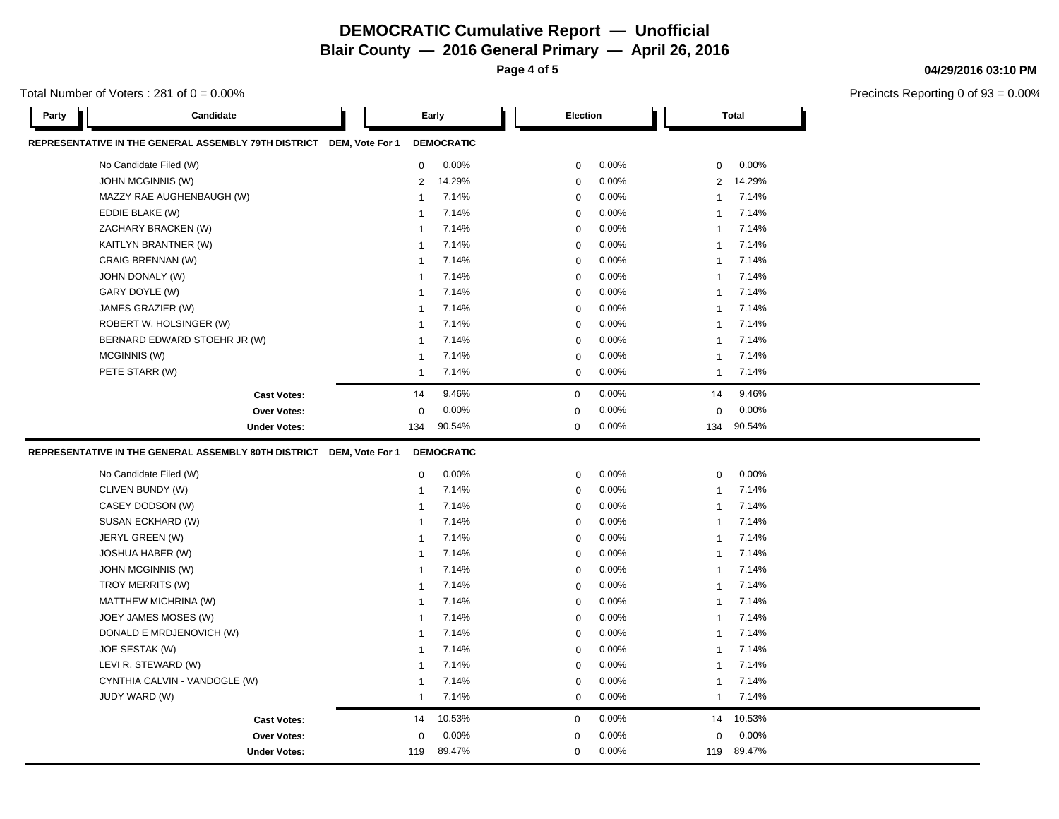### **DEMOCRATIC Cumulative Report — Unofficial Blair County — 2016 General Primary — April 26, 2016**

**Page 4 of 5**

Total Number of Voters :  $281$  of  $0 = 0.00\%$ 

| Party | Candidate                                                            |                 | Early             |             | Election    |       |              | <b>Total</b> |
|-------|----------------------------------------------------------------------|-----------------|-------------------|-------------|-------------|-------|--------------|--------------|
|       | REPRESENTATIVE IN THE GENERAL ASSEMBLY 79TH DISTRICT DEM, Vote For 1 |                 | <b>DEMOCRATIC</b> |             |             |       |              |              |
|       | No Candidate Filed (W)                                               | $\mathbf 0$     | 0.00%             |             | $\mathbf 0$ | 0.00% | $\mathbf 0$  | 0.00%        |
|       | <b>JOHN MCGINNIS (W)</b>                                             | $\overline{2}$  | 14.29%            | $\mathbf 0$ |             | 0.00% | 2            | 14.29%       |
|       | MAZZY RAE AUGHENBAUGH (W)                                            | $\mathbf 1$     | 7.14%             | $\mathbf 0$ |             | 0.00% | $\mathbf{1}$ | 7.14%        |
|       | EDDIE BLAKE (W)                                                      | -1              | 7.14%             | $\mathbf 0$ |             | 0.00% | $\mathbf{1}$ | 7.14%        |
|       | ZACHARY BRACKEN (W)                                                  | $\overline{1}$  | 7.14%             | $\mathbf 0$ |             | 0.00% | $\mathbf{1}$ | 7.14%        |
|       | KAITLYN BRANTNER (W)                                                 | -1              | 7.14%             |             | $\mathbf 0$ | 0.00% | $\mathbf{1}$ | 7.14%        |
|       | CRAIG BRENNAN (W)                                                    | $\mathbf 1$     | 7.14%             |             | $\mathbf 0$ | 0.00% | $\mathbf{1}$ | 7.14%        |
|       | JOHN DONALY (W)                                                      | $\overline{1}$  | 7.14%             |             | $\mathbf 0$ | 0.00% | $\mathbf 1$  | 7.14%        |
|       | GARY DOYLE (W)                                                       | -1              | 7.14%             |             | $\mathbf 0$ | 0.00% | $\mathbf{1}$ | 7.14%        |
|       | JAMES GRAZIER (W)                                                    | $\mathbf 1$     | 7.14%             | $\mathbf 0$ |             | 0.00% | $\mathbf{1}$ | 7.14%        |
|       | ROBERT W. HOLSINGER (W)                                              | -1              | 7.14%             |             | $\mathbf 0$ | 0.00% | $\mathbf{1}$ | 7.14%        |
|       | BERNARD EDWARD STOEHR JR (W)                                         | -1              | 7.14%             | $\mathbf 0$ |             | 0.00% | $\mathbf{1}$ | 7.14%        |
|       | MCGINNIS (W)                                                         | $\mathbf 1$     | 7.14%             | $\mathbf 0$ |             | 0.00% | $\mathbf{1}$ | 7.14%        |
|       | PETE STARR (W)                                                       | $\mathbf 1$     | 7.14%             |             | $\mathbf 0$ | 0.00% | $\mathbf{1}$ | 7.14%        |
|       | <b>Cast Votes:</b>                                                   | 14              | 9.46%             | $\mathbf 0$ |             | 0.00% | 14           | 9.46%        |
|       | Over Votes:                                                          | 0               | 0.00%             | 0           |             | 0.00% | $\mathbf 0$  | 0.00%        |
|       | <b>Under Votes:</b>                                                  | 134             | 90.54%            | 0           |             | 0.00% | 134          | 90.54%       |
|       | REPRESENTATIVE IN THE GENERAL ASSEMBLY 80TH DISTRICT                 | DEM, Vote For 1 | <b>DEMOCRATIC</b> |             |             |       |              |              |
|       | No Candidate Filed (W)                                               | $\mathbf 0$     | 0.00%             |             | $\mathbf 0$ | 0.00% | $\mathbf 0$  | 0.00%        |
|       | CLIVEN BUNDY (W)                                                     | $\overline{1}$  | 7.14%             | $\mathbf 0$ |             | 0.00% | $\mathbf{1}$ | 7.14%        |
|       | CASEY DODSON (W)                                                     | -1              | 7.14%             |             | $\mathbf 0$ | 0.00% | $\mathbf{1}$ | 7.14%        |
|       | SUSAN ECKHARD (W)                                                    | -1              | 7.14%             |             | $\mathbf 0$ | 0.00% | $\mathbf{1}$ | 7.14%        |
|       | JERYL GREEN (W)                                                      | $\mathbf{1}$    | 7.14%             |             | $\mathbf 0$ | 0.00% | $\mathbf 1$  | 7.14%        |
|       | <b>JOSHUA HABER (W)</b>                                              | 1               | 7.14%             |             | $\mathbf 0$ | 0.00% | $\mathbf{1}$ | 7.14%        |
|       | <b>JOHN MCGINNIS (W)</b>                                             | -1              | 7.14%             | $\mathbf 0$ |             | 0.00% | $\mathbf 1$  | 7.14%        |
|       | TROY MERRITS (W)                                                     | -1              | 7.14%             | $\mathbf 0$ |             | 0.00% | $\mathbf{1}$ | 7.14%        |
|       | MATTHEW MICHRINA (W)                                                 | 1               | 7.14%             |             | $\mathbf 0$ | 0.00% | $\mathbf{1}$ | 7.14%        |
|       | JOEY JAMES MOSES (W)                                                 | -1              | 7.14%             |             | 0           | 0.00% | 1            | 7.14%        |
|       | DONALD E MRDJENOVICH (W)                                             | 1               | 7.14%             |             | $\mathbf 0$ | 0.00% | $\mathbf{1}$ | 7.14%        |
|       | JOE SESTAK (W)                                                       | -1              | 7.14%             | $\mathbf 0$ |             | 0.00% | $\mathbf 1$  | 7.14%        |
|       | LEVI R. STEWARD (W)                                                  | $\mathbf{1}$    | 7.14%             | $\mathbf 0$ |             | 0.00% | $\mathbf{1}$ | 7.14%        |
|       | CYNTHIA CALVIN - VANDOGLE (W)                                        | 1               | 7.14%             | $\mathbf 0$ |             | 0.00% | $\mathbf{1}$ | 7.14%        |
|       | JUDY WARD (W)                                                        | $\mathbf{1}$    | 7.14%             |             | $\mathbf 0$ | 0.00% | $\mathbf{1}$ | 7.14%        |
|       | <b>Cast Votes:</b>                                                   | 14              | 10.53%            | $\mathbf 0$ |             | 0.00% | 14           | 10.53%       |
|       | <b>Over Votes:</b>                                                   | $\Omega$        | 0.00%             | $\Omega$    |             | 0.00% | $\Omega$     | 0.00%        |
|       | <b>Under Votes:</b>                                                  | 119             | 89.47%            | $\mathbf 0$ |             | 0.00% | 119          | 89.47%       |

#### **04/29/2016 03:10 PM**